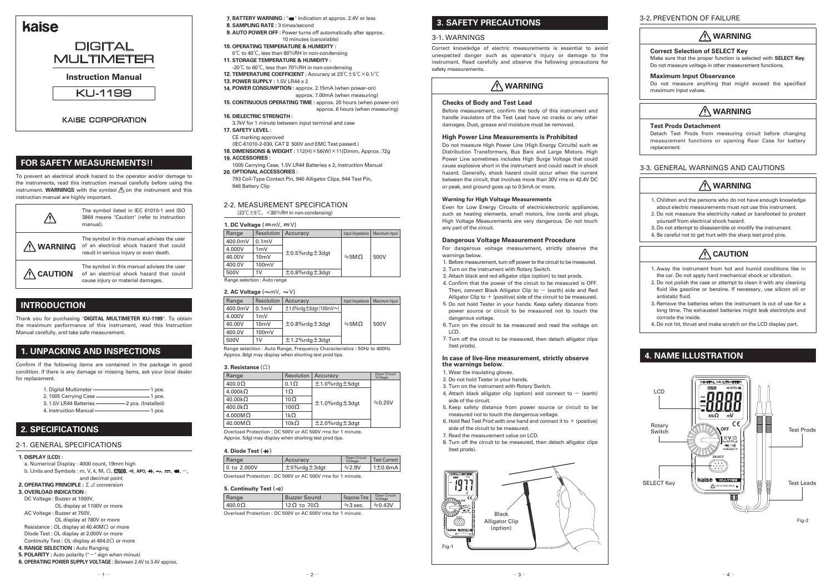# **1. UNPACKING AND INSPECTIONS**

## **INTRODUCTION**

Confirm if the following items are contained in the package in good condition. If there is any damage or missing items, ask your local dealer for replacement.

Thank you for purchasing "**DIGITAL MULTIMETER KU-1199**". To obtain the maximum performance of this instrument, read this Instruction Manual carefully, and take safe measurement.

## **Instruction Manual**



## **KAISE CORPORATION**

# **WARNING**

|                     | The symbol listed in IEC 61010-1 and ISO<br>3864 means "Caution" (refer to instruction<br>manual).                                |  |
|---------------------|-----------------------------------------------------------------------------------------------------------------------------------|--|
| <b>WARNING</b>      | The symbol in this manual advises the user<br>of an electrical shock hazard that could<br>result in serious injury or even death. |  |
| $\bigwedge$ CAUTION | The symbol in this manual advises the user<br>of an electrical shock hazard that could<br>cause injury or material damages.       |  |

## **WARNING**

## **FOR SAFETY MEASUREMENTS!!**

# **WARNING**

To prevent an electrical shock hazard to the operator and/or damage to the instruments, read this instruction manual carefully before using the instrument. **WARNINGS** with the symbol  $\Lambda$  on the instrument and this instruction manual are highly important.

> For dangerous voltage measurement, strictly observe the warnings below.

| 1. Digital Multimeter   | 1 pce.              |
|-------------------------|---------------------|
| 2. 1005 Carrying Case   | 1 pce.              |
| 3. 1.5V LR44 Batteries  | -2 pcs. (Installed) |
| 4. Instruction Manual - | 1 pce.              |

### **Checks of Body and Test Lead**

Before measurement, confirm the body of this instrument and handle insulators of the Test Lead have no cracks or any other damages. Dust, grease and moisture must be removed.

- 1. Before measurement, turn off power to the circuit to be measured.
- 2. Turn on the instrument with Rotary Switch.
- 3. Attach black and red alligator clips (option) to test prods.
- 4. Confirm that the power of the circuit to be measured is OFF. Then, connect Black Alligator Clip to  $-$  (earth) side and Red Alligator Clip to  $+$  (positive) side of the circuit to be measured.
- 5. Do not hold Tester in your hands. Keep safety distance from power source or circuit to be measured not to touch the dangerous voltage.
- 6. Turn on the circuit to be measured and read the voltage on LCD.
- 7. Turn off the circuit to be measured, then detach alligator clips (test prods).

### **High Power Line Measurements is Prohibited**

Do not measure High Power Line (High Energy Circuits) such as Distribution Transformers, Bus Bars and Large Motors. High Power Line sometimes includes High Surge Voltage that could cause explosive short in the instrument and could result in shock hazard. Generally, shock hazard could occur when the current between the circuit, that involves more than 30V rms or 42.4V DC or peak, and ground goes up to 0.5mA or more.

- 1. Wear the insulating gloves.
- 2. Do not hold Tester in your hands.
- 3. Turn on the instrument with Rotary Switch.
- 4. Attach black alligator clip (option) and connect to  $-$  (earth) side of the circuit.
- 5. Keep safety distance from power source or circuit to be measured not to touch the dangerous voltage.
- 6. Hold Red Test Prod with one hand and connect it to  $+$  (positive) side of the circuit to be measured.
- 7. Read the measurement value on LCD.
- 8. Turn off the circuit to be measured, then detach alligator clips (test prods).

### **Warning for High Voltage Measurements**

a. Numerical Display : 4000 count, 19mm high b. Units and Symbols : m, V, k, M,  $\Omega$ ,  $\mathbb{E}$ **UIO**,  $\mathbb{W}$ , APO,  $\mathbb{H}$ ,  $\sim$ ,  $\mathbb{H}$ ,  $\mathbb{H}$ ,  $\sim$ ,  $\mathbb{H}$ ,  $\sim$ ,  $\mathbb{H}$ ,  $\sim$ ,  $\mathbb{H}$ ,  $\sim$ ,  $\mathbb{H}$ ,  $\sim$ ,  $\mathbb{H}$ ,  $\sim$ ,  $\mathbb{H}$ ,  $\sim$ ,  $\mathbb{H}$ ,  $\$ 

- and decimal point **OPERATING PRINCIPLE :** Σ⊿ conversion **2.**
- **OVERLOAD INDICATION : 3.**
- DC Voltage : Buzzer at 1000V, OL display at 1100V or more
- AC Voltage : Buzzer at 750V,
- OL display at 780V or more
- Resistance : OL display at 40.40MΩ or more
- Diode Test : OL display at 2.000V or more
- Continuity Test : OL display at 404.0Ω or more
- **RANGE SELECTION :** Auto Ranging **4.**
- **5. POLARITY**: Auto polarity ("-" sign when minus)
- **OPERATING POWER SUPPLY VOLTAGE :** Between 2.4V to 3.4V approx. **6.**
	- $1 -$

Even for Low Energy Circuits of electric/electronic appliances, such as heating elements, small motors, line cords and plugs, High Voltage Measurements are very dangerous. Do not touch any part of the circuit.

### **Dangerous Voltage Measurement Procedure**

# kaise

# **DIGITAL** MULTIMETER

- Children and the persons who do not have enough knowledge 1. about electric measurements must not use this instrument.
- 2. Do not measure the electricity naked or barefooted to protect yourself from electrical shock hazard.
- 3. Do not attempt to disassemble or modify the instrument.
- 4. Be careful not to get hurt with the sharp test prod pins.

#### **In case of live-line measurement, strictly observe the warnings below.**

- 7. BATTERY WARNING : " $\blacksquare$ " indication at approx. 2.4V or less **SAMPLING RATE :** 3 times/second **8.**
- **AUTO POWER OFF :** Power turns off automatically after approx. **9.** 10 minutes (cancelable)
- **OPERATING TEMPERATURE & HUMIDITY : 10.**
- 0℃ to 40℃, less than 80%RH in non-condensing **STORAGE TEMPERATURE & HUMIDITY : 11.**
- -20℃ to 60℃, less than 70%RH in non-condensing
- **TEMPERATURE COEFFICIENT :** Accuracy at 23℃±5℃×0.1/℃ **12.**
- **POWER SUPPLY :** 1.5V LR44 x 2 **13.**
- **POWER CONSUMPTION :** approx. 2.15mA (when power-on) **14.**
- approx. 7.00mA (when measuring) **CONTINUOUS OPERATING TIME :** approx. 20 hours (when power-on) **15.**
- approx. 6 hours (when measuring)
- **16. DIELECTRIC STRENGTH:**
- 3.7kV for 1 minute between input terminal and case
- **SAFETY LEVEL : 17.**
- CE marking approved
- (IEC-61010-2-030, CATⅡ 500V and EMC Test passed.) **DIMENSIONS & WEIGHT :** 112(H)×56(W)×11(D)mm, Approx. 72g **18.**
- **ACCESSORIES : 19.**
- 1005 Carrying Case, 1.5V LR44 Batteries x 2, Instruction Manual **OPTIONAL ACCESSORIES : 20.**
- 793 Coil-Type Contact Pin, 940 Alligator Clips, 944 Test Pin, 946 Battery Clip

### **Correct Selection of SELECT Key**

Make sure that the proper function is selected with **SELECT Key**. Do not measure voltage in other measurement functions.

### **Maximum Input Observance**

Do not measure anything that might exceed the specified maximum input values.

# **WARNING**

### **Test Prods Detachment**

Detach Test Prods from measuring circuit before changing measurement functions or opening Rear Case for battery replacement.

## 2-2. MEASUREMENT SPECIFICATION

(23℃±5℃、<80%RH in non-condensing)

## **DISPLAY (LCD) : 1.**

Range selection : Auto Range, Frequency Characteristics : 50Hz to 400Hz Approx. 8dgt may display when shorting test prod tips.

| Range   | Resolution       | Accuracy                                    | Input Impedance |      |
|---------|------------------|---------------------------------------------|-----------------|------|
| 400.0mV | 0.1 <sub>m</sub> | $±1.0\%$ rdg $±8$ dgt $(100$ mV $\sim$ )    |                 |      |
| 4.000V  | 1mV              | $±0.8\%$ rdg $±3$ dgt<br>$\div$ 5M $\Omega$ |                 |      |
| 40.00V  | $10m$ V          |                                             |                 | 500V |
| 400.0V  | 100mV            |                                             |                 |      |
| 500V    | 1V               | $±1.2\%$ rdg $±3$ dgt                       |                 |      |

## **2. SPECIFICATIONS**

## 2-1. GENERAL SPECIFICATIONS



Correct knowledge of electric measurements is essential to avoid unexpected danger such as operator's injury or damage to the instrument. Read carefully and observe the following precautions for safety measurements.

# **3. SAFETY PRECAUTIONS**

## 3-1. WARNINGS

## 3-3. GENERAL WARNINGS AND CAUTIONS

## **4. NAME ILLUSTRATION**



Overload Protection : DC 500V or AC 500V rms for 1 minute. Approx. 5dgt may display when shorting test prod tips.

### **4. Diode Test (++)**

#### **3. Resistance** (Ω)

| Range          | Resolution  | Accuracy              | Open Circuit<br>Voltage |
|----------------|-------------|-----------------------|-------------------------|
| $400.0\Omega$  | $0.1\Omega$ | $±1.0\%$ rdg $±5$ dgt |                         |
| $4.000k\Omega$ | 1 $\Omega$  |                       |                         |
| $40.00k\Omega$ | $10\Omega$  |                       | $\div 0.25V$            |
| $400.0k\Omega$ | $100\Omega$ | $±1.0\%$ rdg $±3$ dgt |                         |
| $4.000M\Omega$ | 1 $k\Omega$ |                       |                         |
| $40.00M\Omega$ | $10k\Omega$ | $±2.0\%$ rdg $±3$ dgt |                         |

Overload Protection : DC 500V or AC 500V rms for 1 minute.

### **5. Continuity Test (\*))**

| Range       | Accuracy    | Open Circuit<br>Voltage | <sup>1</sup> Test Current |
|-------------|-------------|-------------------------|---------------------------|
| 0 to 2,000V | 土5%rdg土3dgt | $\div$ 2.9V             | $1\pm0.6$ mA              |
|             |             |                         |                           |

| Range                                                    | <b>Buzzer Sound</b> | Response Time | Open Circuit<br>Voltage |
|----------------------------------------------------------|---------------------|---------------|-------------------------|
| $400.0\Omega$                                            | 12Ω to 70Ω          | $\div$ 3 sec. | $\div 0.43V$            |
| Overload Protection: DC 500V or AC 500V rms for 1 minute |                     |               |                         |

ad Protection : DC 500V or AC 500V rms for 1 minute

# **CAUTION**

- 1. Away the instrument from hot and humid conditions like in the car. Do not apply hard mechanical shock or vibration.
- 2. Do not polish the case or attempt to clean it with any cleaning fluid like gasoline or benzine. If necessary, use silicon oil or antistatic fluid.
- 3. Remove the batteries when the instrument is out of use for a long time. The exhausted batteries might leak electrolyte and corrode the inside.
- 4. Do not hit, thrust and make scratch on the LCD display part.

| 1. DC Voltage $(\overline{m}mV, \overline{m}V)$ |       |                     |  |
|-------------------------------------------------|-------|---------------------|--|
|                                                 | Range | Resolution Accuracy |  |

| nange                        | Resolution | Accuracy              | input impedance    | iviaximum input |
|------------------------------|------------|-----------------------|--------------------|-----------------|
| 400.0mV                      | $0.1m$ V   | $±0.5\%$ rdg $±3$ dgt | $\div$ 5M $\Omega$ | 500V            |
| 4.000V                       | 1mV        |                       |                    |                 |
| 40.00V                       | $10m$ V    |                       |                    |                 |
| 400.0V                       | 100mV      |                       |                    |                 |
| 500V                         | 1 V        | $±0.8\%$ rdg $±3$ dgt |                    |                 |
| Range selection : Auto range |            |                       |                    |                 |

### **2. AC Voltage**  $(\sim mV, \sim V)$